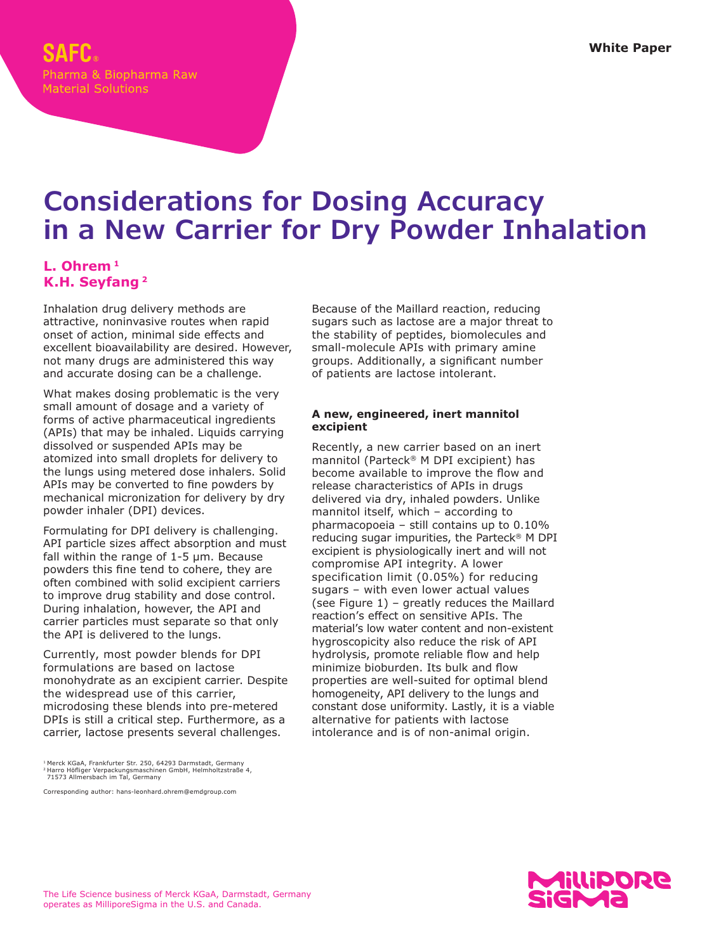# **Considerations for Dosing Accuracy in a New Carrier for Dry Powder Inhalation**

# **L. Ohrem 1 K.H. Seyfang 2**

Inhalation drug delivery methods are attractive, noninvasive routes when rapid onset of action, minimal side effects and excellent bioavailability are desired. However, not many drugs are administered this way and accurate dosing can be a challenge.

What makes dosing problematic is the very small amount of dosage and a variety of forms of active pharmaceutical ingredients (APIs) that may be inhaled. Liquids carrying dissolved or suspended APIs may be atomized into small droplets for delivery to the lungs using metered dose inhalers. Solid APIs may be converted to fine powders by mechanical micronization for delivery by dry powder inhaler (DPI) devices.

Formulating for DPI delivery is challenging. API particle sizes affect absorption and must fall within the range of 1-5 μm. Because powders this fine tend to cohere, they are often combined with solid excipient carriers to improve drug stability and dose control. During inhalation, however, the API and carrier particles must separate so that only the API is delivered to the lungs.

Currently, most powder blends for DPI formulations are based on lactose monohydrate as an excipient carrier. Despite the widespread use of this carrier, microdosing these blends into pre-metered DPIs is still a critical step. Furthermore, as a carrier, lactose presents several challenges.

Corresponding author: hans-leonhard.ohrem@emdgroup.com

Because of the Maillard reaction, reducing sugars such as lactose are a major threat to the stability of peptides, biomolecules and small-molecule APIs with primary amine groups. Additionally, a significant number of patients are lactose intolerant.

# **A new, engineered, inert mannitol excipient**

Recently, a new carrier based on an inert mannitol (Parteck® M DPI excipient) has become available to improve the flow and release characteristics of APIs in drugs delivered via dry, inhaled powders. Unlike mannitol itself, which – according to pharmacopoeia – still contains up to 0.10% reducing sugar impurities, the Parteck® M DPI excipient is physiologically inert and will not compromise API integrity. A lower specification limit (0.05%) for reducing sugars – with even lower actual values (see Figure 1) – greatly reduces the Maillard reaction's effect on sensitive APIs. The material's low water content and non-existent hygroscopicity also reduce the risk of API hydrolysis, promote reliable flow and help minimize bioburden. Its bulk and flow properties are well-suited for optimal blend homogeneity, API delivery to the lungs and constant dose uniformity. Lastly, it is a viable alternative for patients with lactose intolerance and is of non-animal origin.



<sup>1</sup> Merck KGaA, Frankfurter Str. 250, 64293 Darmstadt, Germany 2 Harro Höfliger Verpackungsmaschinen GmbH, Helmholtzstraße 4, 71573 Allmersbach im Tal, Germany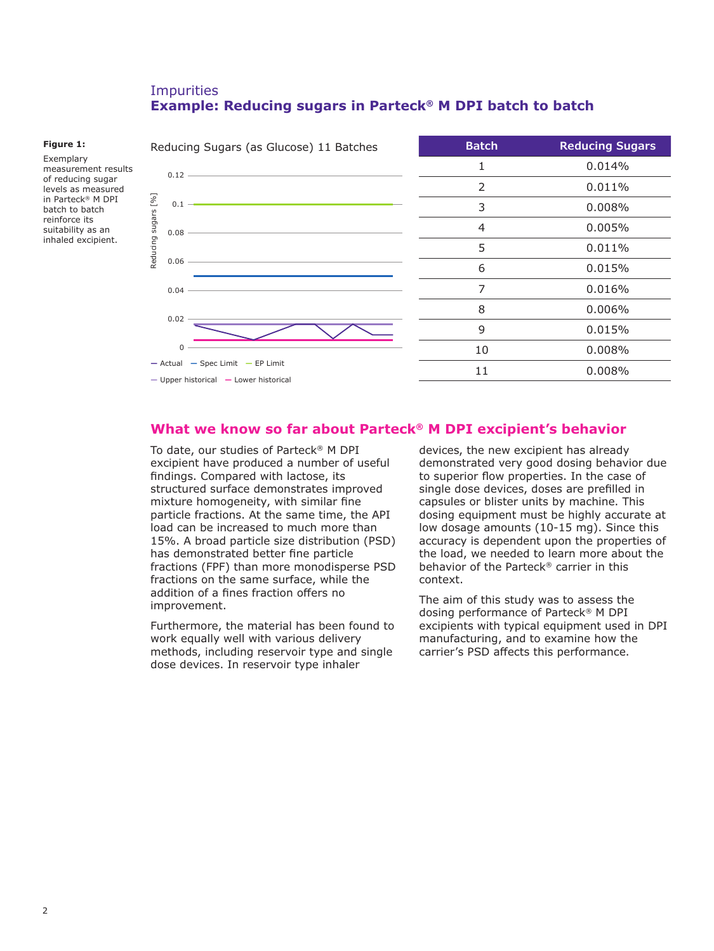# Impurities **Example: Reducing sugars in Parteck® M DPI batch to batch**

#### **Figure 1:**

Exemplary measurement results of reducing sugar levels as measured in Parteck® M DPI batch to batch reinforce its suitability as an inhaled excipient.



# **What we know so far about Parteck® M DPI excipient's behavior**

To date, our studies of Parteck® M DPI excipient have produced a number of useful findings. Compared with lactose, its structured surface demonstrates improved mixture homogeneity, with similar fine particle fractions. At the same time, the API load can be increased to much more than 15%. A broad particle size distribution (PSD) has demonstrated better fine particle fractions (FPF) than more monodisperse PSD fractions on the same surface, while the addition of a fines fraction offers no improvement.

Furthermore, the material has been found to work equally well with various delivery methods, including reservoir type and single dose devices. In reservoir type inhaler

devices, the new excipient has already demonstrated very good dosing behavior due to superior flow properties. In the case of single dose devices, doses are prefilled in capsules or blister units by machine. This dosing equipment must be highly accurate at low dosage amounts (10-15 mg). Since this accuracy is dependent upon the properties of the load, we needed to learn more about the behavior of the Parteck® carrier in this context.

The aim of this study was to assess the dosing performance of Parteck® M DPI excipients with typical equipment used in DPI manufacturing, and to examine how the carrier's PSD affects this performance.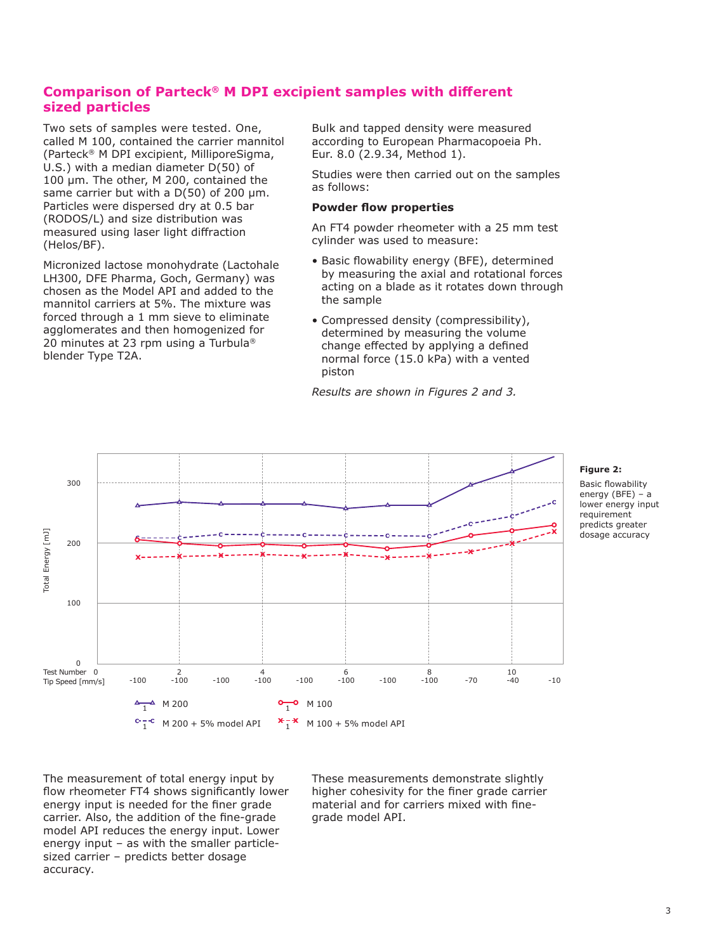# **Comparison of Parteck® M DPI excipient samples with different sized particles**

Two sets of samples were tested. One, called M 100, contained the carrier mannitol (Parteck® M DPI excipient, MilliporeSigma, U.S.) with a median diameter D(50) of 100 μm. The other, M 200, contained the same carrier but with a D(50) of 200 μm. Particles were dispersed dry at 0.5 bar (RODOS/L) and size distribution was measured using laser light diffraction (Helos/BF).

Micronized lactose monohydrate (Lactohale LH300, DFE Pharma, Goch, Germany) was chosen as the Model API and added to the mannitol carriers at 5%. The mixture was forced through a 1 mm sieve to eliminate agglomerates and then homogenized for 20 minutes at 23 rpm using a Turbula® blender Type T2A.

Bulk and tapped density were measured according to European Pharmacopoeia Ph. Eur. 8.0 (2.9.34, Method 1).

Studies were then carried out on the samples as follows:

## **Powder flow properties**

An FT4 powder rheometer with a 25 mm test cylinder was used to measure:

- Basic flowability energy (BFE), determined by measuring the axial and rotational forces acting on a blade as it rotates down through the sample
- Compressed density (compressibility), determined by measuring the volume change effected by applying a defined normal force (15.0 kPa) with a vented piston

*Results are shown in Figures 2 and 3.*



#### **Figure 2:**

Basic flowability energy (BFE) – a lower energy input requirement predicts greater dosage accuracy

The measurement of total energy input by flow rheometer FT4 shows significantly lower energy input is needed for the finer grade carrier. Also, the addition of the fine-grade model API reduces the energy input. Lower energy input – as with the smaller particlesized carrier – predicts better dosage accuracy.

These measurements demonstrate slightly higher cohesivity for the finer grade carrier material and for carriers mixed with finegrade model API.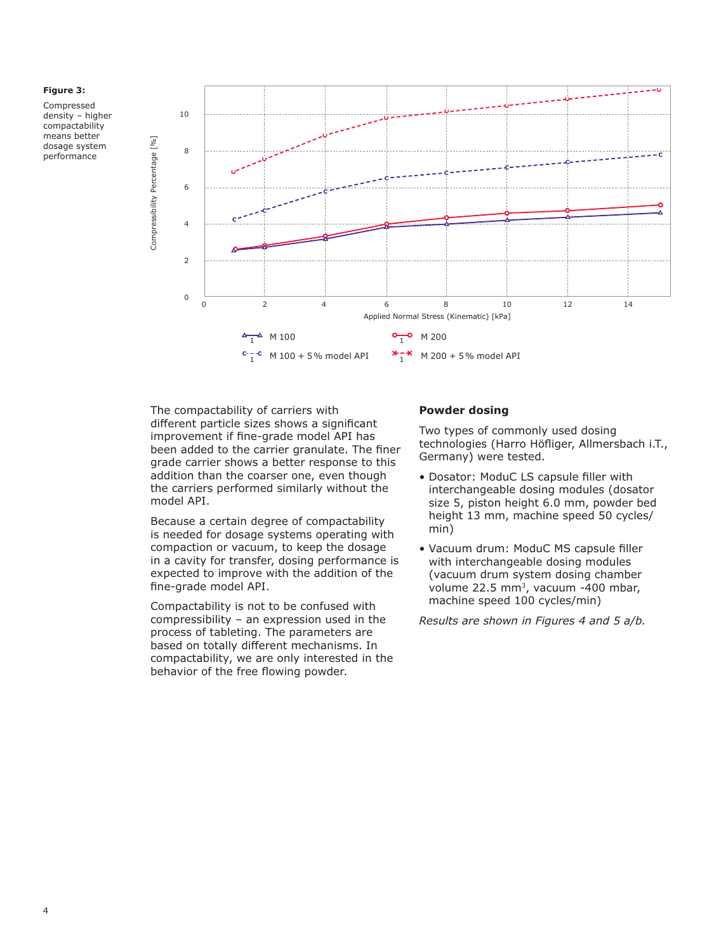

Compressed density – higher compactability means better dosage system performance



The compactability of carriers with different particle sizes shows a significant improvement if fine-grade model API has been added to the carrier granulate. The finer grade carrier shows a better response to this addition than the coarser one, even though the carriers performed similarly without the model API.

Because a certain degree of compactability is needed for dosage systems operating with compaction or vacuum, to keep the dosage in a cavity for transfer, dosing performance is expected to improve with the addition of the fine-grade model API.

Compactability is not to be confused with compressibility – an expression used in the process of tableting. The parameters are based on totally different mechanisms. In compactability, we are only interested in the behavior of the free flowing powder.

## **Powder dosing**

Two types of commonly used dosing technologies (Harro Höfliger, Allmersbach i.T., Germany) were tested.

- Dosator: ModuC LS capsule filler with interchangeable dosing modules (dosator size 5, piston height 6.0 mm, powder bed height 13 mm, machine speed 50 cycles/ min)
- Vacuum drum: ModuC MS capsule filler with interchangeable dosing modules (vacuum drum system dosing chamber volume 22.5 mm<sup>3</sup>, vacuum -400 mbar, machine speed 100 cycles/min)

*Results are shown in Figures 4 and 5 a/b.*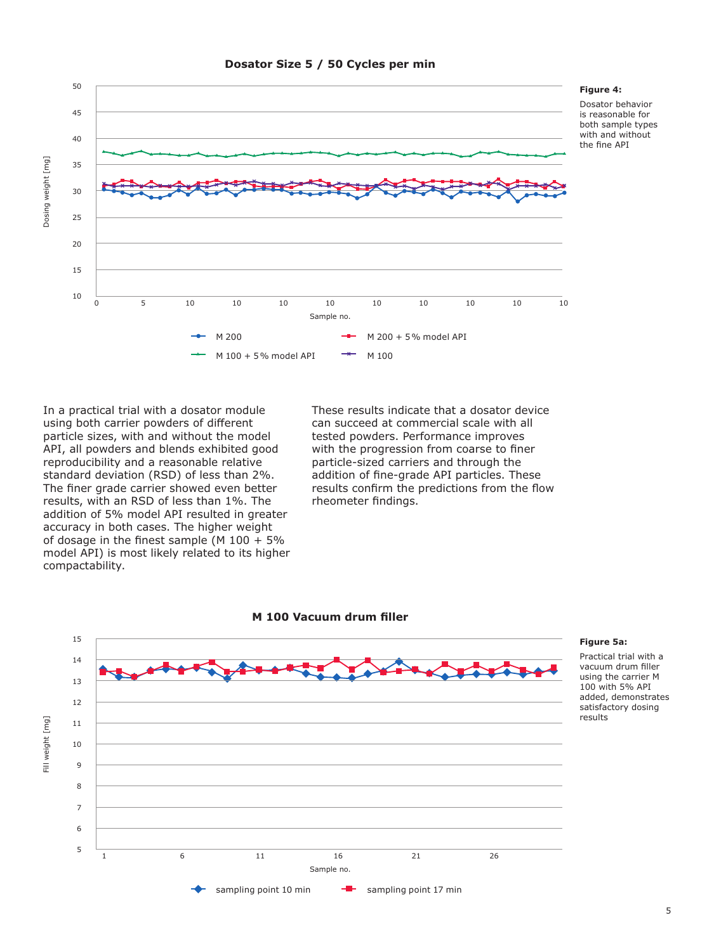

## **Dosator Size 5 / 50 Cycles per min**

**Figure 4:**  Dosator behavior is reasonable for

both sample types with and without the fine API

In a practical trial with a dosator module using both carrier powders of different particle sizes, with and without the model API, all powders and blends exhibited good reproducibility and a reasonable relative standard deviation (RSD) of less than 2%. The finer grade carrier showed even better results, with an RSD of less than 1%. The addition of 5% model API resulted in greater accuracy in both cases. The higher weight of dosage in the finest sample (M  $100 + 5\%$ model API) is most likely related to its higher compactability.

These results indicate that a dosator device can succeed at commercial scale with all tested powders. Performance improves with the progression from coarse to finer particle-sized carriers and through the addition of fine-grade API particles. These results confirm the predictions from the flow rheometer findings.





#### **Figure 5a:**

Practical trial with a vacuum drum filler using the carrier M 100 with 5% API added, demonstrates satisfactory dosing results